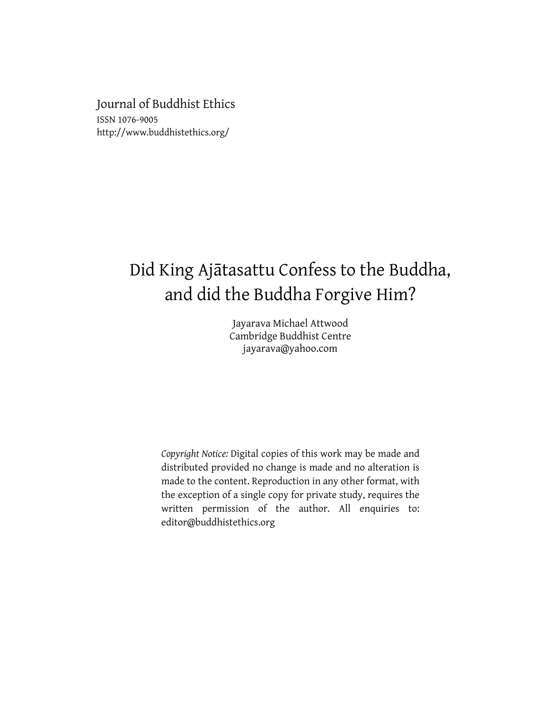Journal of Buddhist Ethics ISSN 1076-9005 http://www.buddhistethics.org/

# Did King Ajātasattu Confess to the Buddha, and did the Buddha Forgive Him?

Jayarava Michael Attwood Cambridge Buddhist Centre jayarava@yahoo.com

*Copyright Notice:* Digital copies of this work may be made and distributed provided no change is made and no alteration is made to the content. Reproduction in any other format, with the exception of a single copy for private study, requires the written permission of the author. All enquiries to: editor@buddhistethics.org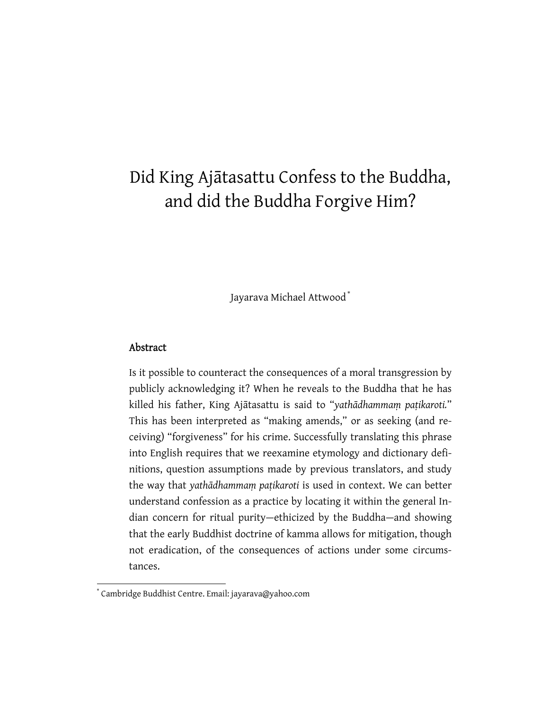## Did King Ajātasattu Confess to the Buddha, and did the Buddha Forgive Him?

Jayarava Michael Attwood \*

#### Abstract

Is it possible to counteract the consequences of a moral transgression by publicly acknowledging it? When he reveals to the Buddha that he has killed his father, King Ajātasattu is said to "*yathādhammaṃ paṭikaroti.*" This has been interpreted as "making amends," or as seeking (and receiving) "forgiveness" for his crime. Successfully translating this phrase into English requires that we reexamine etymology and dictionary definitions, question assumptions made by previous translators, and study the way that *yathādhammaṃ paṭikaroti* is used in context. We can better understand confession as a practice by locating it within the general Indian concern for ritual purity—ethicized by the Buddha—and showing that the early Buddhist doctrine of kamma allows for mitigation, though not eradication, of the consequences of actions under some circumstances.

 \* Cambridge Buddhist Centre. Email: jayarava@yahoo.com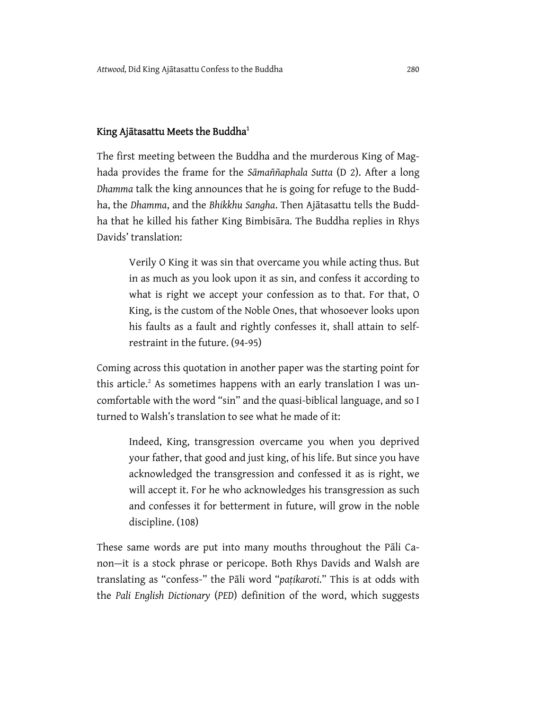### King Ajātasattu Meets the Buddha $^{\rm 1}$

The first meeting between the Buddha and the murderous King of Maghada provides the frame for the *Sāmaññaphala Sutta* (D 2). After a long *Dhamma* talk the king announces that he is going for refuge to the Buddha, the *Dhamma*, and the *Bhikkhu Sangha*. Then Ajātasattu tells the Buddha that he killed his father King Bimbisāra. The Buddha replies in Rhys Davids' translation:

Verily O King it was sin that overcame you while acting thus. But in as much as you look upon it as sin, and confess it according to what is right we accept your confession as to that. For that, O King, is the custom of the Noble Ones, that whosoever looks upon his faults as a fault and rightly confesses it, shall attain to selfrestraint in the future. (94-95)

Coming across this quotation in another paper was the starting point for this article. $2$  As sometimes happens with an early translation I was uncomfortable with the word "sin" and the quasi-biblical language, and so I turned to Walsh's translation to see what he made of it:

Indeed, King, transgression overcame you when you deprived your father, that good and just king, of his life. But since you have acknowledged the transgression and confessed it as is right, we will accept it. For he who acknowledges his transgression as such and confesses it for betterment in future, will grow in the noble discipline. (108)

These same words are put into many mouths throughout the Pāli Canon—it is a stock phrase or pericope. Both Rhys Davids and Walsh are translating as "confess-" the Pāli word "*paṭikaroti*." This is at odds with the *Pali English Dictionary* (*PED*) definition of the word, which suggests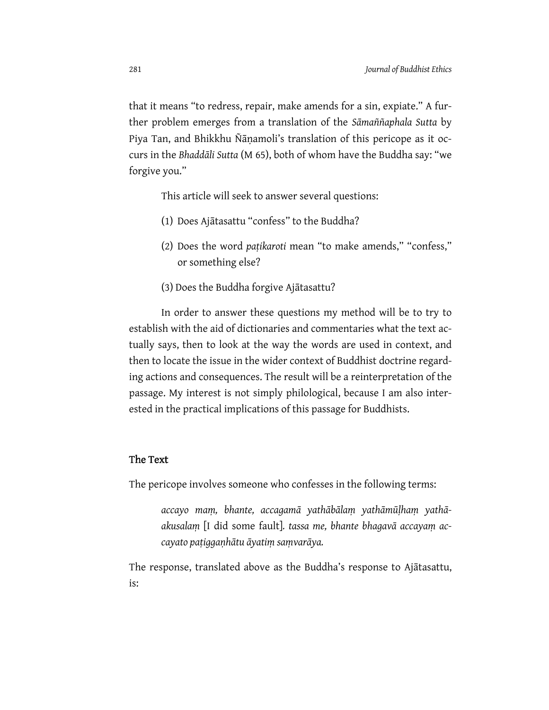that it means "to redress, repair, make amends for a sin, expiate." A further problem emerges from a translation of the *Sāmaññaphala Sutta* by Piya Tan, and Bhikkhu Ñāṇamoli's translation of this pericope as it occurs in the *Bhaddāli Sutta* (M 65), both of whom have the Buddha say: "we forgive you."

This article will seek to answer several questions:

- (1) Does Ajātasattu "confess" to the Buddha?
- (2) Does the word *paṭikaroti* mean "to make amends," "confess," or something else?
- (3) Does the Buddha forgive Ajātasattu?

In order to answer these questions my method will be to try to establish with the aid of dictionaries and commentaries what the text actually says, then to look at the way the words are used in context, and then to locate the issue in the wider context of Buddhist doctrine regarding actions and consequences. The result will be a reinterpretation of the passage. My interest is not simply philological, because I am also interested in the practical implications of this passage for Buddhists.

#### The Text

The pericope involves someone who confesses in the following terms:

*accayo maṃ, bhante, accagamā yathābālaṃ yathāmūḷhaṃ yathāakusalaṃ* [I did some fault]*. tassa me, bhante bhagavā accayaṃ accayato paṭiggaṇhātu āyatiṃ saṃvarāya.* 

The response, translated above as the Buddha's response to Ajātasattu, is: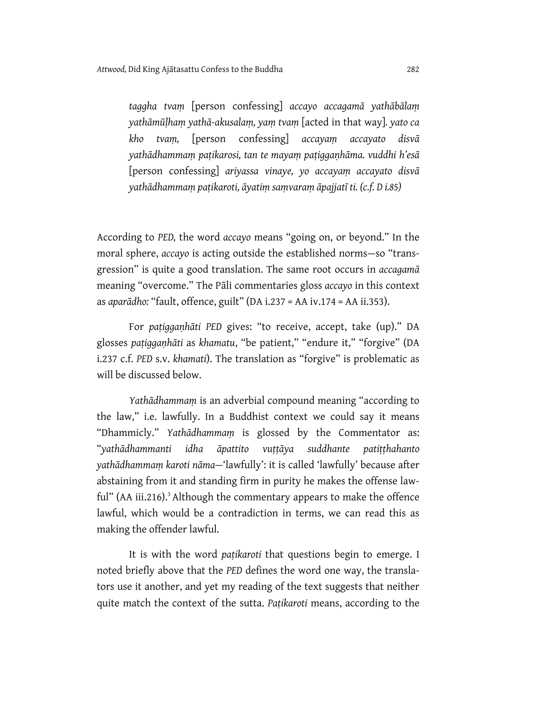*taggha tvaṃ* [person confessing] *accayo accagamā yathābālaṃ yathāmūḷhaṃ yathā-akusalaṃ, yaṃ tvaṃ* [acted in that way]*. yato ca kho tvaṃ,* [person confessing] *accayaṃ accayato disvā yathādhammaṃ paṭikarosi, tan te mayaṃ paṭiggaṇhāma. vuddhi h'esā* [person confessing] *ariyassa vinaye, yo accayaṃ accayato disvā yathādhammaṃ paṭikaroti, āyatiṃ saṃvaraṃ āpajjatī ti. (c.f. D i.85)* 

According to *PED,* the word *accayo* means "going on, or beyond." In the moral sphere, *accayo* is acting outside the established norms—so "transgression" is quite a good translation. The same root occurs in *accagamā* meaning "overcome." The Pāli commentaries gloss *accayo* in this context as *aparādho:* "fault, offence, guilt" (DA i.237 = AA iv.174 = AA ii.353).

For *paṭiggaṇhāti PED* gives: "to receive, accept, take (up)." DA glosses *paṭiggaṇhāti* as *khamatu*, "be patient," "endure it," "forgive" (DA i.237 c.f. *PED* s.v. *khamati*). The translation as "forgive" is problematic as will be discussed below.

*Yathādhammaṃ* is an adverbial compound meaning "according to the law," i.e. lawfully. In a Buddhist context we could say it means "Dhammicly." *Yathādhammaṃ* is glossed by the Commentator as: "*yathādhammanti idha āpattito vuṭṭāya suddhante patiṭṭhahanto yathādhammaṃ karoti nāma—*'lawfully': it is called 'lawfully' because after abstaining from it and standing firm in purity he makes the offense lawful" (AA iii.216).<sup>3</sup> Although the commentary appears to make the offence lawful, which would be a contradiction in terms, we can read this as making the offender lawful.

It is with the word *paṭikaroti* that questions begin to emerge. I noted briefly above that the *PED* defines the word one way, the translators use it another, and yet my reading of the text suggests that neither quite match the context of the sutta. *Paṭikaroti* means, according to the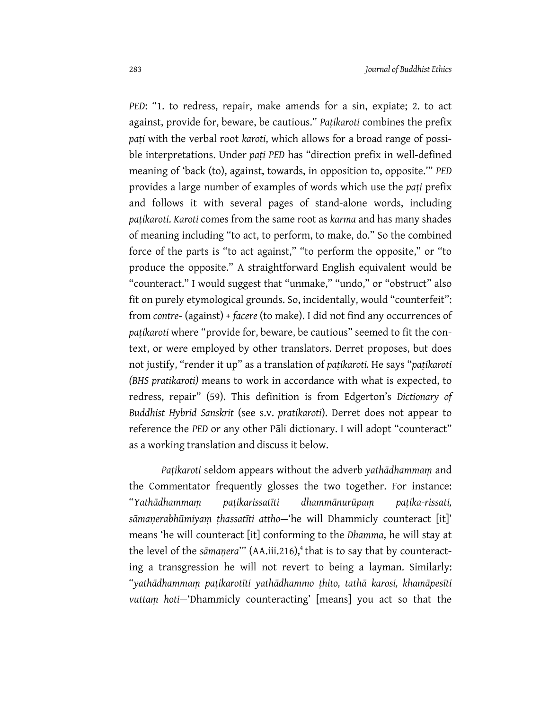*PED*: "1. to redress, repair, make amends for a sin, expiate; 2. to act against, provide for, beware, be cautious." *Paṭikaroti* combines the prefix *paṭi* with the verbal root *karoti*, which allows for a broad range of possible interpretations. Under *paṭi PED* has "direction prefix in well-defined meaning of 'back (to), against, towards, in opposition to, opposite.'" *PED* provides a large number of examples of words which use the *paṭi* prefix and follows it with several pages of stand-alone words, including *paṭikaroti*. *Karoti* comes from the same root as *karma* and has many shades of meaning including "to act, to perform, to make, do." So the combined force of the parts is "to act against," "to perform the opposite," or "to produce the opposite." A straightforward English equivalent would be "counteract." I would suggest that "unmake," "undo," or "obstruct" also fit on purely etymological grounds. So, incidentally, would "counterfeit": from *contre*- (against) + *facere* (to make). I did not find any occurrences of *paṭikaroti* where "provide for, beware, be cautious" seemed to fit the context, or were employed by other translators. Derret proposes, but does not justify, "render it up" as a translation of *paṭikaroti.* He says "*paṭikaroti (BHS pratikaroti)* means to work in accordance with what is expected, to redress, repair" (59). This definition is from Edgerton's *Dictionary of Buddhist Hybrid Sanskrit* (see s.v. *pratikaroti*). Derret does not appear to reference the *PED* or any other Pāli dictionary. I will adopt "counteract" as a working translation and discuss it below.

*Paṭikaroti* seldom appears without the adverb *yathādhammaṃ* and the Commentator frequently glosses the two together. For instance: "*Yathādhammaṃ paṭikarissatīti dhammānurūpaṃ paṭika-rissati, sāmaṇerabhūmiyaṃ ṭhassatīti attho—*'he will Dhammicly counteract [it]' means 'he will counteract [it] conforming to the *Dhamma*, he will stay at the level of the *s* $\bar{a}$ *manera*<sup>""</sup> (AA.iii.216),<sup>4</sup> that is to say that by counteracting a transgression he will not revert to being a layman. Similarly: "*yathādhammaṃ paṭikarotīti yathādhammo ṭhito, tathā karosi, khamāpesīti vuttaṃ hoti—*'Dhammicly counteracting' [means] you act so that the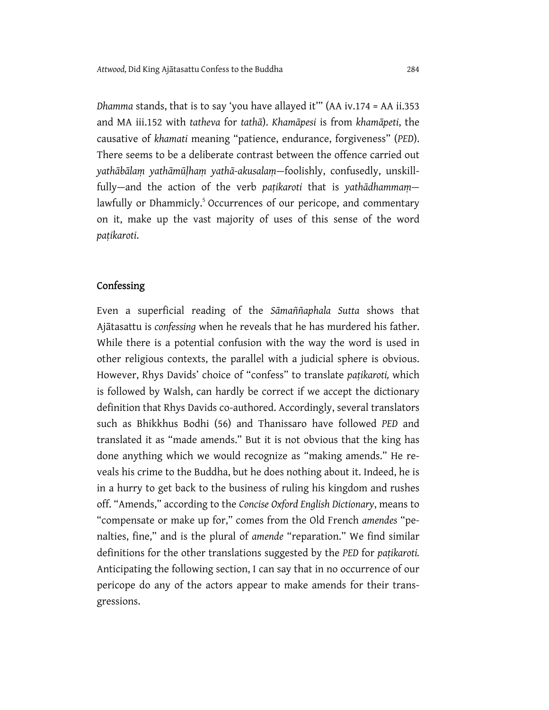*Dhamma* stands, that is to say 'you have allayed it'" (AA iv.174 = AA ii.353 and MA iii.152 with *tatheva* for *tathā*). *Khamāpesi* is from *khamāpeti*, the causative of *khamati* meaning "patience, endurance, forgiveness" (*PED*). There seems to be a deliberate contrast between the offence carried out *yathābālaṃ yathāmūḷhaṃ yathā-akusalaṃ*—foolishly, confusedly, unskillfully—and the action of the verb *paṭikaroti* that is *yathādhammaṃ* lawfully or Dhammicly.<sup>5</sup> Occurrences of our pericope, and commentary on it, make up the vast majority of uses of this sense of the word *paṭikaroti*.

#### Confessing

Even a superficial reading of the *Sāmaññaphala Sutta* shows that Ajātasattu is *confessing* when he reveals that he has murdered his father. While there is a potential confusion with the way the word is used in other religious contexts, the parallel with a judicial sphere is obvious. However, Rhys Davids' choice of "confess" to translate *paṭikaroti,* which is followed by Walsh, can hardly be correct if we accept the dictionary definition that Rhys Davids co-authored. Accordingly, several translators such as Bhikkhus Bodhi (56) and Thanissaro have followed *PED* and translated it as "made amends." But it is not obvious that the king has done anything which we would recognize as "making amends." He reveals his crime to the Buddha, but he does nothing about it. Indeed, he is in a hurry to get back to the business of ruling his kingdom and rushes off. "Amends," according to the *Concise Oxford English Dictionary*, means to "compensate or make up for," comes from the Old French *amendes* "penalties, fine," and is the plural of *amende* "reparation." We find similar definitions for the other translations suggested by the *PED* for *paṭikaroti.*  Anticipating the following section, I can say that in no occurrence of our pericope do any of the actors appear to make amends for their transgressions.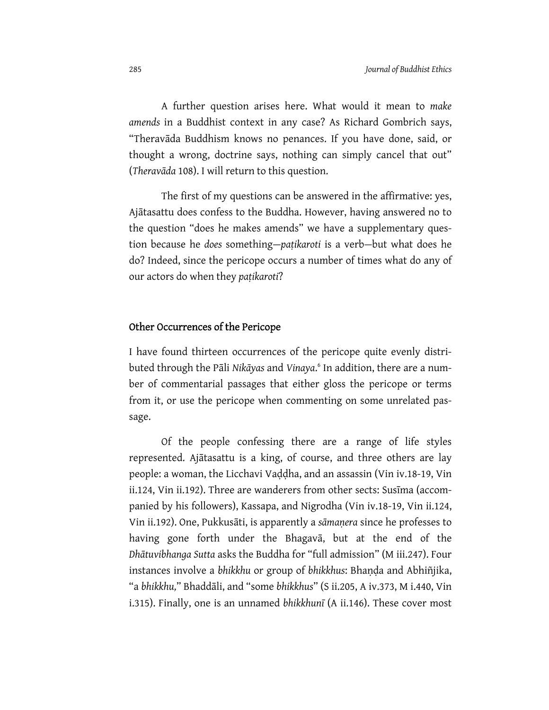A further question arises here. What would it mean to *make amends* in a Buddhist context in any case? As Richard Gombrich says, "Theravāda Buddhism knows no penances. If you have done, said, or thought a wrong, doctrine says, nothing can simply cancel that out" (*Theravāda* 108). I will return to this question.

The first of my questions can be answered in the affirmative: yes, Ajātasattu does confess to the Buddha. However, having answered no to the question "does he makes amends" we have a supplementary question because he *does* something—*paṭikaroti* is a verb*—*but what does he do? Indeed, since the pericope occurs a number of times what do any of our actors do when they *paṭikaroti*?

#### Other Occurrences of the Pericope

I have found thirteen occurrences of the pericope quite evenly distributed through the Pāli *Nikāyas* and *Vinaya*. 6 In addition, there are a number of commentarial passages that either gloss the pericope or terms from it, or use the pericope when commenting on some unrelated passage.

Of the people confessing there are a range of life styles represented. Ajātasattu is a king, of course, and three others are lay people: a woman, the Licchavi Vaḍḍha, and an assassin (Vin iv.18-19, Vin ii.124, Vin ii.192). Three are wanderers from other sects: Susīma (accompanied by his followers), Kassapa, and Nigrodha (Vin iv.18-19, Vin ii.124, Vin ii.192). One, Pukkusāti, is apparently a *sāmaṇera* since he professes to having gone forth under the Bhagavā, but at the end of the *Dhātuvibhanga Sutta* asks the Buddha for "full admission" (M iii.247). Four instances involve a *bhikkhu* or group of *bhikkhus*: Bhaṇḍa and Abhiñjika, "a *bhikkhu,*" Bhaddāli, and "some *bhikkhus*" (S ii.205, A iv.373, M i.440, Vin i.315). Finally, one is an unnamed *bhikkhunī* (A ii.146). These cover most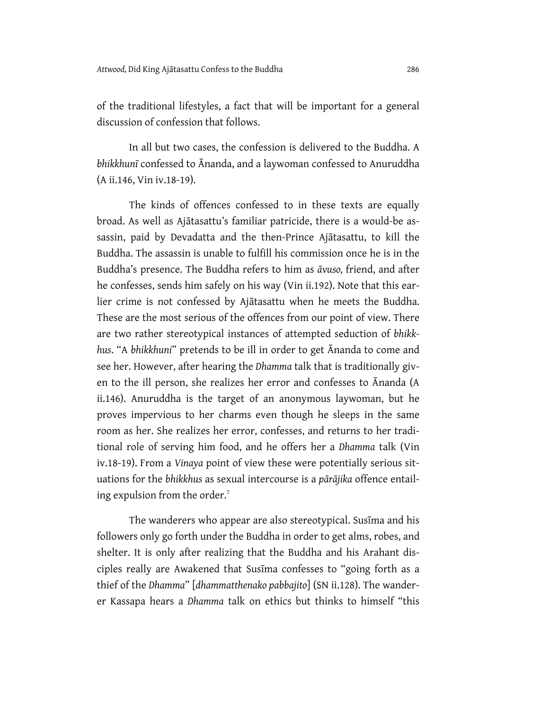of the traditional lifestyles, a fact that will be important for a general discussion of confession that follows.

In all but two cases, the confession is delivered to the Buddha. A *bhikkhunī* confessed to Ānanda, and a laywoman confessed to Anuruddha (A ii.146, Vin iv.18-19).

The kinds of offences confessed to in these texts are equally broad. As well as Ajātasattu's familiar patricide, there is a would-be assassin, paid by Devadatta and the then-Prince Ajātasattu, to kill the Buddha. The assassin is unable to fulfill his commission once he is in the Buddha's presence. The Buddha refers to him as *āvuso,* friend, and after he confesses, sends him safely on his way (Vin ii.192). Note that this earlier crime is not confessed by Ajātasattu when he meets the Buddha. These are the most serious of the offences from our point of view. There are two rather stereotypical instances of attempted seduction of *bhikkhus*. "A *bhikkhuni*" pretends to be ill in order to get Ānanda to come and see her. However, after hearing the *Dhamma* talk that is traditionally given to the ill person, she realizes her error and confesses to Ānanda (A ii.146). Anuruddha is the target of an anonymous laywoman, but he proves impervious to her charms even though he sleeps in the same room as her. She realizes her error, confesses, and returns to her traditional role of serving him food, and he offers her a *Dhamma* talk (Vin iv.18-19). From a *Vinaya* point of view these were potentially serious situations for the *bhikkhus* as sexual intercourse is a *pārājika* offence entailing expulsion from the order.<sup>7</sup>

The wanderers who appear are also stereotypical. Susīma and his followers only go forth under the Buddha in order to get alms, robes, and shelter. It is only after realizing that the Buddha and his Arahant disciples really are Awakened that Susīma confesses to "going forth as a thief of the *Dhamma*" [*dhammatthenako pabbajito*] (SN ii.128). The wanderer Kassapa hears a *Dhamma* talk on ethics but thinks to himself "this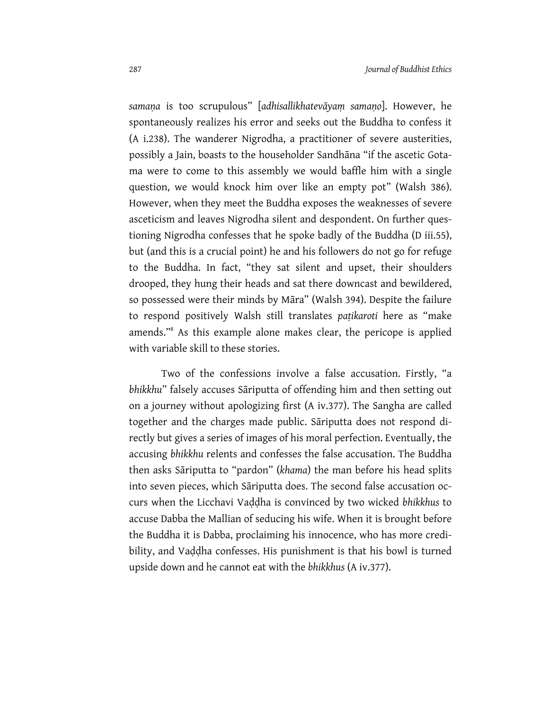*samaṇa* is too scrupulous" [*adhisallikhatevāyaṃ samaṇo*]. However, he spontaneously realizes his error and seeks out the Buddha to confess it (A i.238). The wanderer Nigrodha, a practitioner of severe austerities, possibly a Jain, boasts to the householder Sandhāna "if the ascetic Gotama were to come to this assembly we would baffle him with a single question, we would knock him over like an empty pot" (Walsh 386). However, when they meet the Buddha exposes the weaknesses of severe asceticism and leaves Nigrodha silent and despondent. On further questioning Nigrodha confesses that he spoke badly of the Buddha (D iii.55), but (and this is a crucial point) he and his followers do not go for refuge to the Buddha. In fact, "they sat silent and upset, their shoulders drooped, they hung their heads and sat there downcast and bewildered, so possessed were their minds by Māra" (Walsh 394). Despite the failure to respond positively Walsh still translates *paṭikaroti* here as "make amends."8 As this example alone makes clear, the pericope is applied with variable skill to these stories.

Two of the confessions involve a false accusation. Firstly, "a *bhikkhu*" falsely accuses Sāriputta of offending him and then setting out on a journey without apologizing first (A iv.377). The Sangha are called together and the charges made public. Sāriputta does not respond directly but gives a series of images of his moral perfection. Eventually, the accusing *bhikkhu* relents and confesses the false accusation. The Buddha then asks Sāriputta to "pardon" (*khama*) the man before his head splits into seven pieces, which Sāriputta does. The second false accusation occurs when the Licchavi Vaḍḍha is convinced by two wicked *bhikkhus* to accuse Dabba the Mallian of seducing his wife. When it is brought before the Buddha it is Dabba, proclaiming his innocence, who has more credibility, and Vaḍḍha confesses. His punishment is that his bowl is turned upside down and he cannot eat with the *bhikkhus* (A iv.377).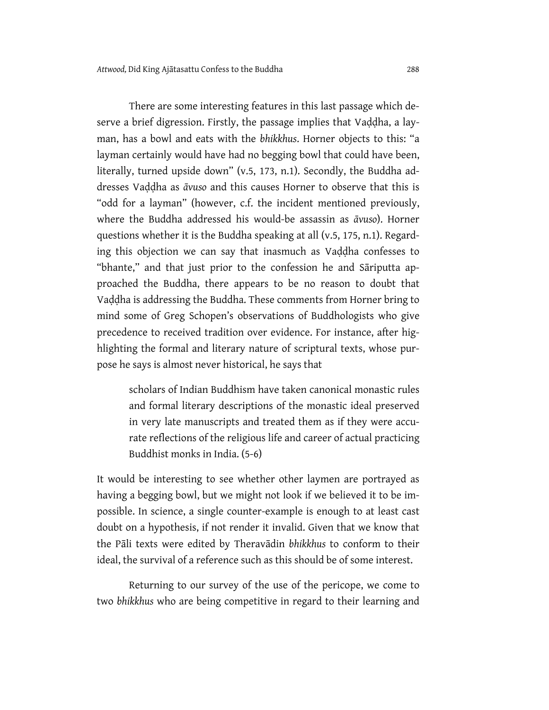There are some interesting features in this last passage which deserve a brief digression. Firstly, the passage implies that Vaḍḍha, a layman, has a bowl and eats with the *bhikkhus*. Horner objects to this: "a layman certainly would have had no begging bowl that could have been, literally, turned upside down" (v.5, 173, n.1). Secondly, the Buddha addresses Vaḍḍha as *āvuso* and this causes Horner to observe that this is "odd for a layman" (however, c.f. the incident mentioned previously, where the Buddha addressed his would-be assassin as *āvuso*). Horner questions whether it is the Buddha speaking at all (v.5, 175, n.1). Regarding this objection we can say that inasmuch as Vaḍḍha confesses to "bhante," and that just prior to the confession he and Sāriputta approached the Buddha, there appears to be no reason to doubt that Vaḍḍha is addressing the Buddha. These comments from Horner bring to mind some of Greg Schopen's observations of Buddhologists who give precedence to received tradition over evidence. For instance, after highlighting the formal and literary nature of scriptural texts, whose purpose he says is almost never historical, he says that

scholars of Indian Buddhism have taken canonical monastic rules and formal literary descriptions of the monastic ideal preserved in very late manuscripts and treated them as if they were accurate reflections of the religious life and career of actual practicing Buddhist monks in India. (5-6)

It would be interesting to see whether other laymen are portrayed as having a begging bowl, but we might not look if we believed it to be impossible. In science, a single counter-example is enough to at least cast doubt on a hypothesis, if not render it invalid. Given that we know that the Pāli texts were edited by Theravādin *bhikkhus* to conform to their ideal, the survival of a reference such as this should be of some interest.

Returning to our survey of the use of the pericope, we come to two *bhikkhus* who are being competitive in regard to their learning and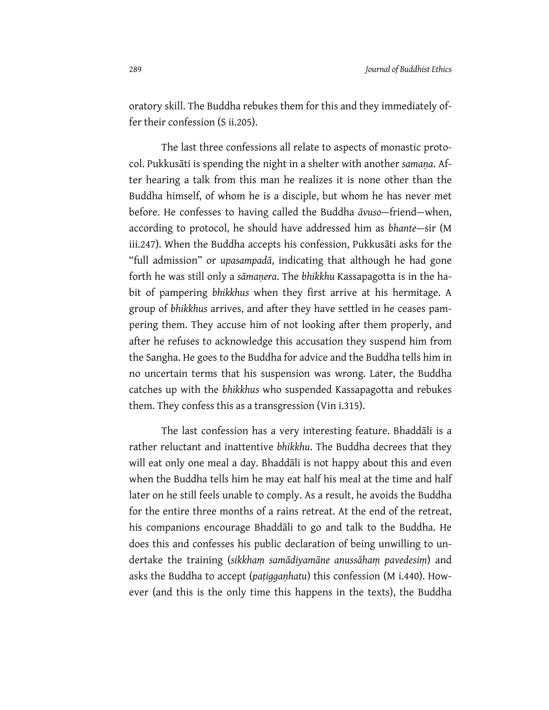oratory skill. The Buddha rebukes them for this and they immediately offer their confession (S ii.205).

The last three confessions all relate to aspects of monastic protocol. Pukkusāti is spending the night in a shelter with another *samaṇa*. After hearing a talk from this man he realizes it is none other than the Buddha himself, of whom he is a disciple, but whom he has never met before. He confesses to having called the Buddha *āvuso*—friend—when, according to protocol, he should have addressed him as *bhante*—sir (M iii.247). When the Buddha accepts his confession, Pukkusāti asks for the "full admission" or *upasampadā*, indicating that although he had gone forth he was still only a *sāmaṇera*. The *bhikkhu* Kassapagotta is in the habit of pampering *bhikkhus* when they first arrive at his hermitage. A group of *bhikkhus* arrives, and after they have settled in he ceases pampering them. They accuse him of not looking after them properly, and after he refuses to acknowledge this accusation they suspend him from the Sangha. He goes to the Buddha for advice and the Buddha tells him in no uncertain terms that his suspension was wrong. Later, the Buddha catches up with the *bhikkhus* who suspended Kassapagotta and rebukes them. They confess this as a transgression (Vin i.315).

The last confession has a very interesting feature. Bhaddāli is a rather reluctant and inattentive *bhikkhu*. The Buddha decrees that they will eat only one meal a day. Bhaddāli is not happy about this and even when the Buddha tells him he may eat half his meal at the time and half later on he still feels unable to comply. As a result, he avoids the Buddha for the entire three months of a rains retreat. At the end of the retreat, his companions encourage Bhaddāli to go and talk to the Buddha. He does this and confesses his public declaration of being unwilling to undertake the training (*sikkhaṃ samādiyamāne anussāhaṃ pavedesiṃ*) and asks the Buddha to accept (*paṭiggaṇhatu*) this confession (M i.440). However (and this is the only time this happens in the texts), the Buddha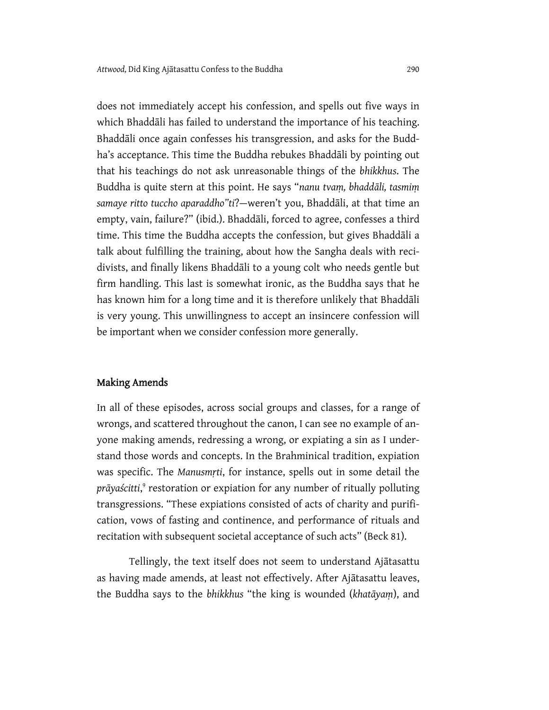does not immediately accept his confession, and spells out five ways in which Bhaddāli has failed to understand the importance of his teaching. Bhaddāli once again confesses his transgression, and asks for the Buddha's acceptance. This time the Buddha rebukes Bhaddāli by pointing out that his teachings do not ask unreasonable things of the *bhikkhus*. The Buddha is quite stern at this point. He says "*nanu tvaṃ, bhaddāli, tasmiṃ samaye ritto tuccho aparaddho"ti*?—weren't you, Bhaddāli, at that time an empty, vain, failure?" (ibid.). Bhaddāli, forced to agree, confesses a third time. This time the Buddha accepts the confession, but gives Bhaddāli a talk about fulfilling the training, about how the Sangha deals with recidivists, and finally likens Bhaddāli to a young colt who needs gentle but firm handling. This last is somewhat ironic, as the Buddha says that he has known him for a long time and it is therefore unlikely that Bhaddāli is very young. This unwillingness to accept an insincere confession will be important when we consider confession more generally.

#### Making Amends

In all of these episodes, across social groups and classes, for a range of wrongs, and scattered throughout the canon, I can see no example of anyone making amends, redressing a wrong, or expiating a sin as I understand those words and concepts. In the Brahminical tradition, expiation was specific. The *Manusmṛti*, for instance, spells out in some detail the pr*āyaścitti*,<sup>9</sup> restoration or expiation for any number of ritually polluting transgressions. "These expiations consisted of acts of charity and purification, vows of fasting and continence, and performance of rituals and recitation with subsequent societal acceptance of such acts" (Beck 81).

Tellingly, the text itself does not seem to understand Ajātasattu as having made amends, at least not effectively. After Ajātasattu leaves, the Buddha says to the *bhikkhus* "the king is wounded (*khatāyaṃ*), and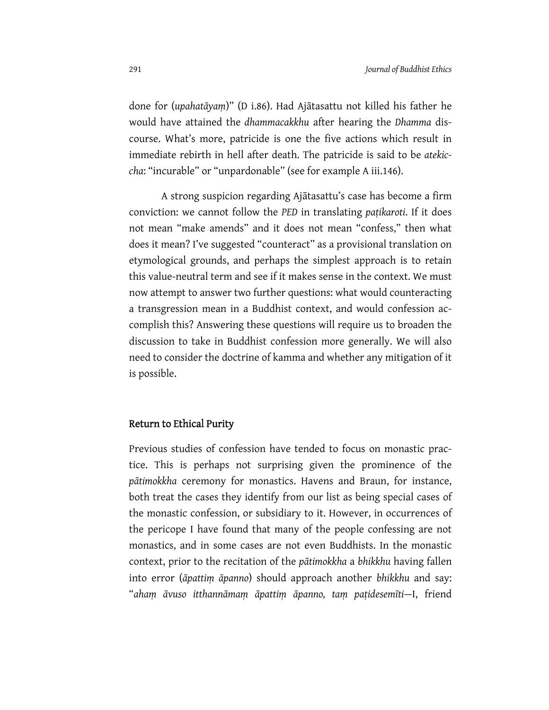done for (*upahatāyaṃ*)" (D i.86). Had Ajātasattu not killed his father he would have attained the *dhammacakkhu* after hearing the *Dhamma* discourse. What's more, patricide is one the five actions which result in immediate rebirth in hell after death. The patricide is said to be *atekiccha*: "incurable" or "unpardonable" (see for example A iii.146).

A strong suspicion regarding Ajātasattu's case has become a firm conviction: we cannot follow the *PED* in translating *paṭikaroti*. If it does not mean "make amends" and it does not mean "confess," then what does it mean? I've suggested "counteract" as a provisional translation on etymological grounds, and perhaps the simplest approach is to retain this value-neutral term and see if it makes sense in the context. We must now attempt to answer two further questions: what would counteracting a transgression mean in a Buddhist context, and would confession accomplish this? Answering these questions will require us to broaden the discussion to take in Buddhist confession more generally. We will also need to consider the doctrine of kamma and whether any mitigation of it is possible.

#### Return to Ethical Purity

Previous studies of confession have tended to focus on monastic practice. This is perhaps not surprising given the prominence of the *pātimokkha* ceremony for monastics. Havens and Braun, for instance, both treat the cases they identify from our list as being special cases of the monastic confession, or subsidiary to it. However, in occurrences of the pericope I have found that many of the people confessing are not monastics, and in some cases are not even Buddhists. In the monastic context, prior to the recitation of the *pātimokkha* a *bhikkhu* having fallen into error (*āpattiṃ āpanno*) should approach another *bhikkhu* and say: "*ahaṃ āvuso itthannāmaṃ āpattiṃ āpanno, taṃ paṭidesemīti*—I, friend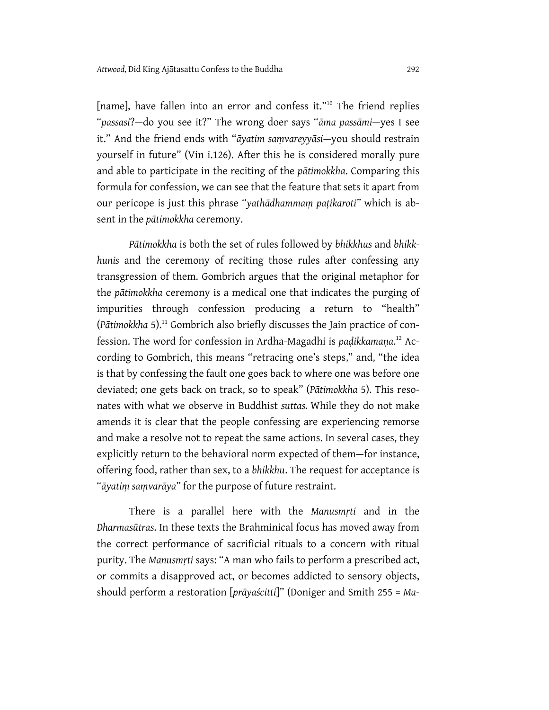[name], have fallen into an error and confess it."<sup>10</sup> The friend replies "*passasi*?—do you see it?" The wrong doer says "*āma passāmi*—yes I see it." And the friend ends with "*āyatim saṃvareyyāsi*—you should restrain yourself in future" (Vin i.126). After this he is considered morally pure and able to participate in the reciting of the *pātimokkha*. Comparing this formula for confession, we can see that the feature that sets it apart from our pericope is just this phrase "*yathādhammaṃ paṭikaroti"* which is absent in the *pātimokkha* ceremony.

*Pātimokkha* is both the set of rules followed by *bhikkhus* and *bhikkhunis* and the ceremony of reciting those rules after confessing any transgression of them. Gombrich argues that the original metaphor for the *pātimokkha* ceremony is a medical one that indicates the purging of impurities through confession producing a return to "health" (*Pātimokkha* 5).11 Gombrich also briefly discusses the Jain practice of confession. The word for confession in Ardha-Magadhi is *paḍikkamaṇa*. 12 According to Gombrich, this means "retracing one's steps," and, "the idea is that by confessing the fault one goes back to where one was before one deviated; one gets back on track, so to speak" (*Pātimokkha* 5). This resonates with what we observe in Buddhist *suttas.* While they do not make amends it is clear that the people confessing are experiencing remorse and make a resolve not to repeat the same actions. In several cases, they explicitly return to the behavioral norm expected of them—for instance, offering food, rather than sex, to a *bhikkhu*. The request for acceptance is "*āyatiṃ saṃvarāya*" for the purpose of future restraint.

There is a parallel here with the *Manusmṛti* and in the *Dharmasūtras*. In these texts the Brahminical focus has moved away from the correct performance of sacrificial rituals to a concern with ritual purity. The *Manusmṛti* says: "A man who fails to perform a prescribed act, or commits a disapproved act, or becomes addicted to sensory objects, should perform a restoration [*prāyaścitti*]" (Doniger and Smith 255 = *Ma-*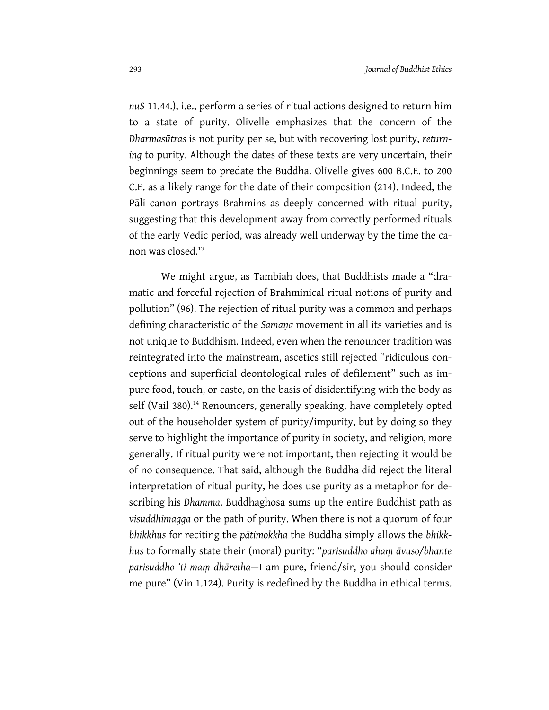*nuS* 11.44.), i.e., perform a series of ritual actions designed to return him to a state of purity. Olivelle emphasizes that the concern of the *Dharmasūtras* is not purity per se, but with recovering lost purity, *returning* to purity. Although the dates of these texts are very uncertain, their beginnings seem to predate the Buddha. Olivelle gives 600 B.C.E. to 200 C.E. as a likely range for the date of their composition (214). Indeed, the Pāli canon portrays Brahmins as deeply concerned with ritual purity, suggesting that this development away from correctly performed rituals of the early Vedic period, was already well underway by the time the canon was closed.<sup>13</sup>

We might argue, as Tambiah does, that Buddhists made a "dramatic and forceful rejection of Brahminical ritual notions of purity and pollution" (96). The rejection of ritual purity was a common and perhaps defining characteristic of the *Samaṇa* movement in all its varieties and is not unique to Buddhism. Indeed, even when the renouncer tradition was reintegrated into the mainstream, ascetics still rejected "ridiculous conceptions and superficial deontological rules of defilement" such as impure food, touch, or caste, on the basis of disidentifying with the body as self (Vail 380).<sup>14</sup> Renouncers, generally speaking, have completely opted out of the householder system of purity/impurity, but by doing so they serve to highlight the importance of purity in society, and religion, more generally. If ritual purity were not important, then rejecting it would be of no consequence. That said, although the Buddha did reject the literal interpretation of ritual purity, he does use purity as a metaphor for describing his *Dhamma*. Buddhaghosa sums up the entire Buddhist path as *visuddhimagga* or the path of purity. When there is not a quorum of four *bhikkhus* for reciting the *pātimokkha* the Buddha simply allows the *bhikkhus* to formally state their (moral) purity: "*parisuddho ahaṃ āvuso/bhante parisuddho 'ti maṃ dhāretha*—I am pure, friend/sir, you should consider me pure" (Vin 1.124). Purity is redefined by the Buddha in ethical terms.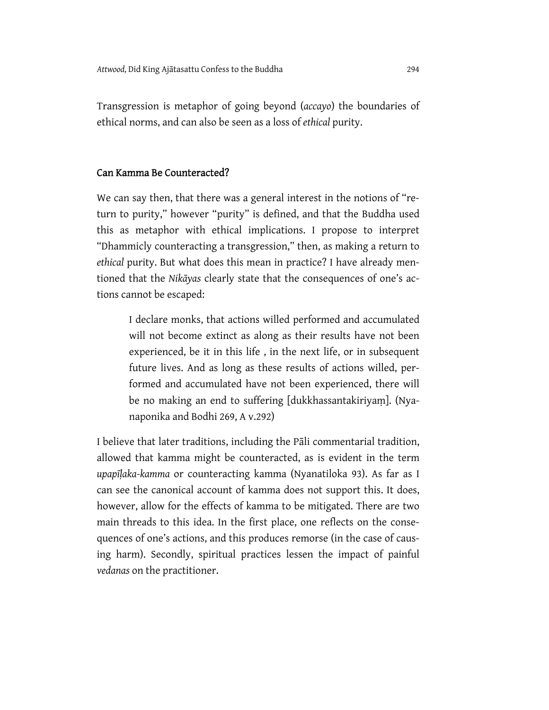Transgression is metaphor of going beyond (*accayo*) the boundaries of ethical norms, and can also be seen as a loss of *ethical* purity.

#### Can Kamma Be Counteracted?

We can say then, that there was a general interest in the notions of "return to purity," however "purity" is defined, and that the Buddha used this as metaphor with ethical implications. I propose to interpret "Dhammicly counteracting a transgression," then, as making a return to *ethical* purity. But what does this mean in practice? I have already mentioned that the *Nikāyas* clearly state that the consequences of one's actions cannot be escaped:

I declare monks, that actions willed performed and accumulated will not become extinct as along as their results have not been experienced, be it in this life , in the next life, or in subsequent future lives. And as long as these results of actions willed, performed and accumulated have not been experienced, there will be no making an end to suffering [dukkhassantakiriyaṃ]. (Nyanaponika and Bodhi 269, A v.292)

I believe that later traditions, including the Pāli commentarial tradition, allowed that kamma might be counteracted, as is evident in the term *upapīḷaka-kamma* or counteracting kamma (Nyanatiloka 93). As far as I can see the canonical account of kamma does not support this. It does, however, allow for the effects of kamma to be mitigated. There are two main threads to this idea. In the first place, one reflects on the consequences of one's actions, and this produces remorse (in the case of causing harm). Secondly, spiritual practices lessen the impact of painful *vedanas* on the practitioner.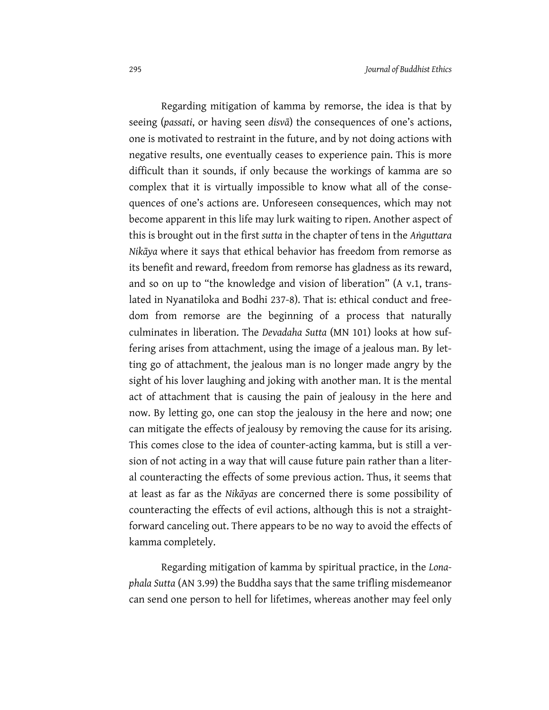Regarding mitigation of kamma by remorse, the idea is that by seeing (*passati*, or having seen *disvā*) the consequences of one's actions, one is motivated to restraint in the future, and by not doing actions with negative results, one eventually ceases to experience pain. This is more difficult than it sounds, if only because the workings of kamma are so complex that it is virtually impossible to know what all of the consequences of one's actions are. Unforeseen consequences, which may not become apparent in this life may lurk waiting to ripen. Another aspect of this is brought out in the first *sutta* in the chapter of tens in the *Aṅguttara Nikāya* where it says that ethical behavior has freedom from remorse as its benefit and reward, freedom from remorse has gladness as its reward, and so on up to "the knowledge and vision of liberation" (A v.1, translated in Nyanatiloka and Bodhi 237-8). That is: ethical conduct and freedom from remorse are the beginning of a process that naturally culminates in liberation. The *Devadaha Sutta* (MN 101) looks at how suffering arises from attachment, using the image of a jealous man. By letting go of attachment, the jealous man is no longer made angry by the sight of his lover laughing and joking with another man. It is the mental act of attachment that is causing the pain of jealousy in the here and now. By letting go, one can stop the jealousy in the here and now; one can mitigate the effects of jealousy by removing the cause for its arising. This comes close to the idea of counter-acting kamma, but is still a version of not acting in a way that will cause future pain rather than a literal counteracting the effects of some previous action. Thus, it seems that at least as far as the *Nikāyas* are concerned there is some possibility of counteracting the effects of evil actions, although this is not a straightforward canceling out. There appears to be no way to avoid the effects of kamma completely.

Regarding mitigation of kamma by spiritual practice, in the *Lonaphala Sutta* (AN 3.99) the Buddha says that the same trifling misdemeanor can send one person to hell for lifetimes, whereas another may feel only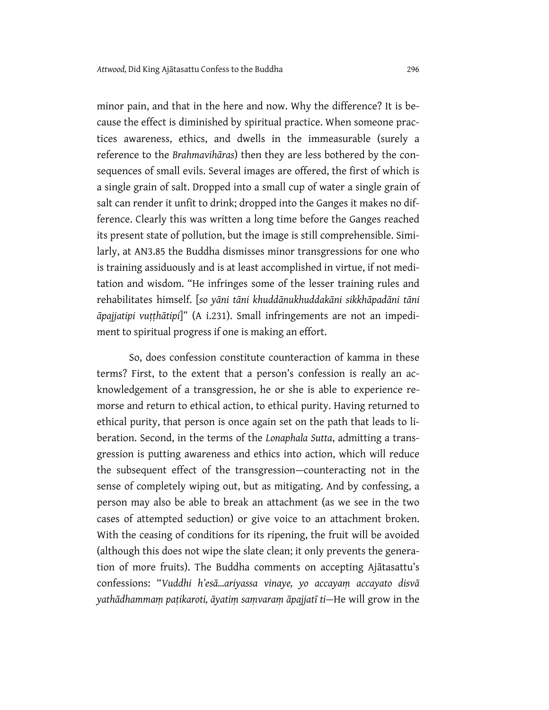minor pain, and that in the here and now. Why the difference? It is because the effect is diminished by spiritual practice. When someone practices awareness, ethics, and dwells in the immeasurable (surely a reference to the *Brahmavihāras*) then they are less bothered by the consequences of small evils. Several images are offered, the first of which is a single grain of salt. Dropped into a small cup of water a single grain of salt can render it unfit to drink; dropped into the Ganges it makes no difference. Clearly this was written a long time before the Ganges reached its present state of pollution, but the image is still comprehensible. Similarly, at AN3.85 the Buddha dismisses minor transgressions for one who is training assiduously and is at least accomplished in virtue, if not meditation and wisdom. "He infringes some of the lesser training rules and rehabilitates himself. [*so yāni tāni khuddānukhuddakāni sikkhāpadāni tāni āpajjatipi vuṭṭhātipi*]" (A i.231). Small infringements are not an impediment to spiritual progress if one is making an effort.

So, does confession constitute counteraction of kamma in these terms? First, to the extent that a person's confession is really an acknowledgement of a transgression, he or she is able to experience remorse and return to ethical action, to ethical purity. Having returned to ethical purity, that person is once again set on the path that leads to liberation. Second, in the terms of the *Lonaphala Sutta*, admitting a transgression is putting awareness and ethics into action, which will reduce the subsequent effect of the transgression—counteracting not in the sense of completely wiping out, but as mitigating. And by confessing, a person may also be able to break an attachment (as we see in the two cases of attempted seduction) or give voice to an attachment broken. With the ceasing of conditions for its ripening, the fruit will be avoided (although this does not wipe the slate clean; it only prevents the generation of more fruits). The Buddha comments on accepting Ajātasattu's confessions: "*Vuddhi h'esā…ariyassa vinaye, yo accayaṃ accayato disvā yathādhammaṃ paṭikaroti, āyatiṃ saṃvaraṃ āpajjatī ti—*He will grow in the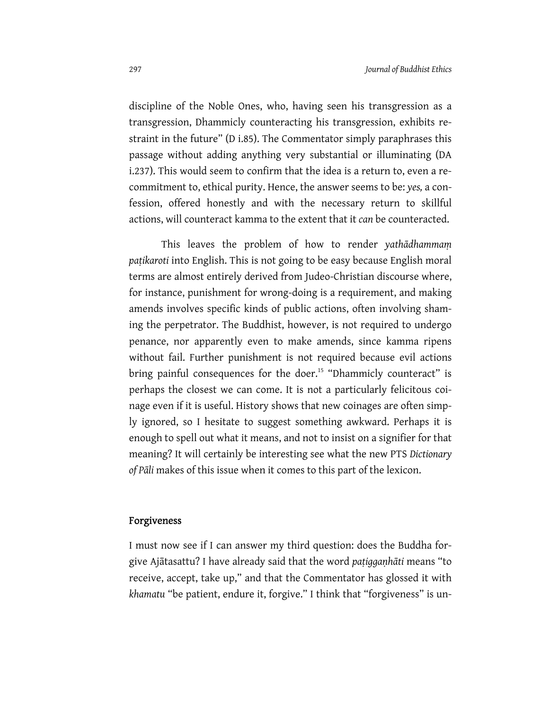discipline of the Noble Ones, who, having seen his transgression as a transgression, Dhammicly counteracting his transgression, exhibits restraint in the future" (D i.85). The Commentator simply paraphrases this passage without adding anything very substantial or illuminating (DA i.237). This would seem to confirm that the idea is a return to, even a recommitment to, ethical purity. Hence, the answer seems to be: *yes,* a confession, offered honestly and with the necessary return to skillful actions, will counteract kamma to the extent that it *can* be counteracted.

This leaves the problem of how to render *yathādhammaṃ paṭikaroti* into English. This is not going to be easy because English moral terms are almost entirely derived from Judeo-Christian discourse where, for instance, punishment for wrong-doing is a requirement, and making amends involves specific kinds of public actions, often involving shaming the perpetrator. The Buddhist, however, is not required to undergo penance, nor apparently even to make amends, since kamma ripens without fail. Further punishment is not required because evil actions bring painful consequences for the doer.<sup>15</sup> "Dhammicly counteract" is perhaps the closest we can come. It is not a particularly felicitous coinage even if it is useful. History shows that new coinages are often simply ignored, so I hesitate to suggest something awkward. Perhaps it is enough to spell out what it means, and not to insist on a signifier for that meaning? It will certainly be interesting see what the new PTS *Dictionary of Pāli* makes of this issue when it comes to this part of the lexicon.

#### Forgiveness

I must now see if I can answer my third question: does the Buddha forgive Ajātasattu? I have already said that the word *paṭiggaṇhāti* means "to receive, accept, take up," and that the Commentator has glossed it with *khamatu* "be patient, endure it, forgive." I think that "forgiveness" is un-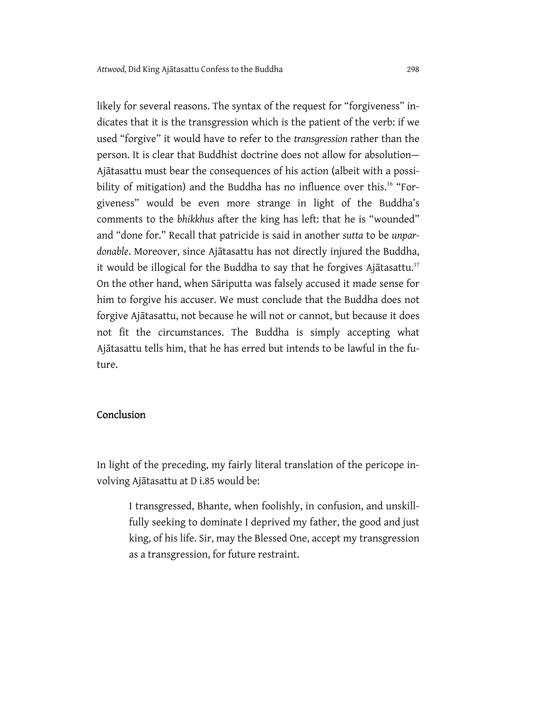likely for several reasons. The syntax of the request for "forgiveness" indicates that it is the transgression which is the patient of the verb: if we used "forgive" it would have to refer to the *transgression* rather than the person. It is clear that Buddhist doctrine does not allow for absolution— Ajātasattu must bear the consequences of his action (albeit with a possibility of mitigation) and the Buddha has no influence over this.<sup>16</sup> "Forgiveness" would be even more strange in light of the Buddha's comments to the *bhikkhus* after the king has left: that he is "wounded" and "done for." Recall that patricide is said in another *sutta* to be *unpardonable*. Moreover, since Ajātasattu has not directly injured the Buddha, it would be illogical for the Buddha to say that he forgives Ajātasattu.<sup>17</sup> On the other hand, when Sāriputta was falsely accused it made sense for him to forgive his accuser. We must conclude that the Buddha does not forgive Ajātasattu, not because he will not or cannot, but because it does not fit the circumstances. The Buddha is simply accepting what Ajātasattu tells him, that he has erred but intends to be lawful in the future.

#### Conclusion

In light of the preceding, my fairly literal translation of the pericope involving Ajātasattu at D i.85 would be:

I transgressed, Bhante, when foolishly, in confusion, and unskillfully seeking to dominate I deprived my father, the good and just king, of his life. Sir, may the Blessed One, accept my transgression as a transgression, for future restraint.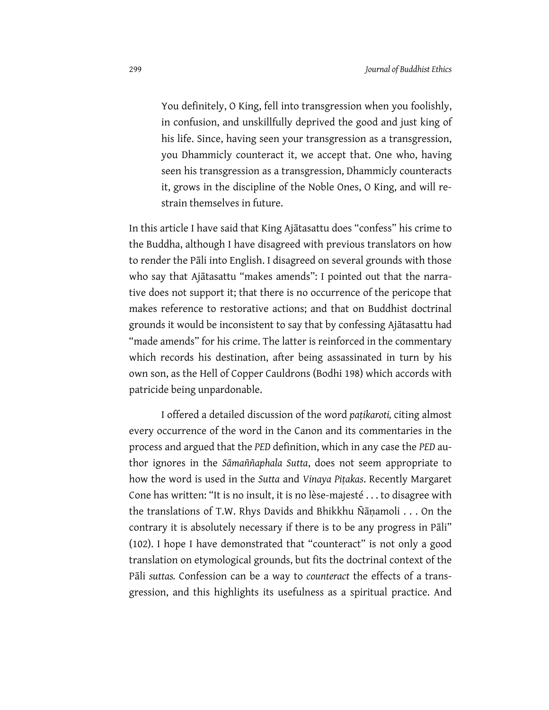You definitely, O King, fell into transgression when you foolishly, in confusion, and unskillfully deprived the good and just king of his life. Since, having seen your transgression as a transgression, you Dhammicly counteract it, we accept that. One who, having seen his transgression as a transgression, Dhammicly counteracts it, grows in the discipline of the Noble Ones, O King, and will restrain themselves in future.

In this article I have said that King Ajātasattu does "confess" his crime to the Buddha, although I have disagreed with previous translators on how to render the Pāli into English. I disagreed on several grounds with those who say that Ajātasattu "makes amends": I pointed out that the narrative does not support it; that there is no occurrence of the pericope that makes reference to restorative actions; and that on Buddhist doctrinal grounds it would be inconsistent to say that by confessing Ajātasattu had "made amends" for his crime. The latter is reinforced in the commentary which records his destination, after being assassinated in turn by his own son, as the Hell of Copper Cauldrons (Bodhi 198) which accords with patricide being unpardonable.

I offered a detailed discussion of the word *paṭikaroti,* citing almost every occurrence of the word in the Canon and its commentaries in the process and argued that the *PED* definition, which in any case the *PED* author ignores in the *Sāmaññaphala Sutta*, does not seem appropriate to how the word is used in the *Sutta* and *Vinaya Piṭakas*. Recently Margaret Cone has written: "It is no insult, it is no lèse-majesté . . . to disagree with the translations of T.W. Rhys Davids and Bhikkhu Ñāṇamoli . . . On the contrary it is absolutely necessary if there is to be any progress in Pāli" (102). I hope I have demonstrated that "counteract" is not only a good translation on etymological grounds, but fits the doctrinal context of the Pāli *suttas.* Confession can be a way to *counteract* the effects of a transgression, and this highlights its usefulness as a spiritual practice. And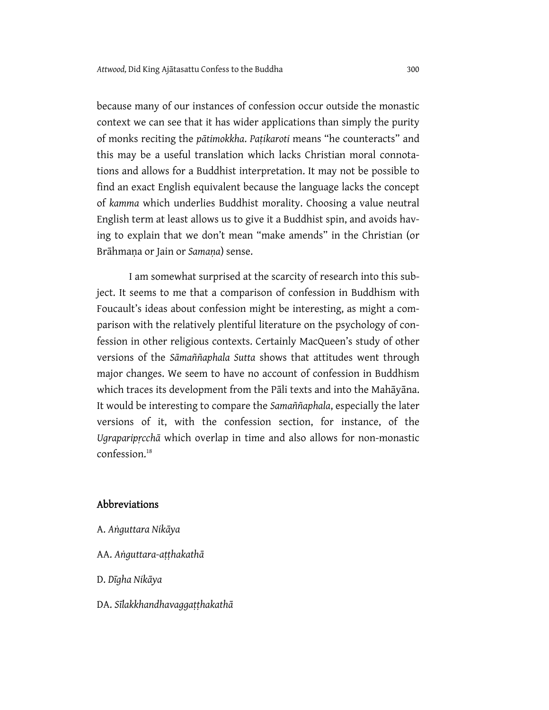because many of our instances of confession occur outside the monastic context we can see that it has wider applications than simply the purity of monks reciting the *pātimokkha*. *Paṭikaroti* means "he counteracts" and this may be a useful translation which lacks Christian moral connotations and allows for a Buddhist interpretation. It may not be possible to find an exact English equivalent because the language lacks the concept of *kamma* which underlies Buddhist morality. Choosing a value neutral English term at least allows us to give it a Buddhist spin, and avoids having to explain that we don't mean "make amends" in the Christian (or Brāhmaṇa or Jain or *Samaṇa*) sense.

I am somewhat surprised at the scarcity of research into this subject. It seems to me that a comparison of confession in Buddhism with Foucault's ideas about confession might be interesting, as might a comparison with the relatively plentiful literature on the psychology of confession in other religious contexts. Certainly MacQueen's study of other versions of the *Sāmaññaphala Sutta* shows that attitudes went through major changes. We seem to have no account of confession in Buddhism which traces its development from the Pāli texts and into the Mahāyāna. It would be interesting to compare the *Samaññaphala*, especially the later versions of it, with the confession section, for instance, of the *Ugraparipṛcchā* which overlap in time and also allows for non-monastic confession.<sup>18</sup>

#### Abbreviations

- A. *Aṅguttara Nikāya*
- AA. *Aṅguttara-aṭṭhakathā*
- D. *Dīgha Nikāya*
- DA. *Sīlakkhandhavaggaṭṭhakathā*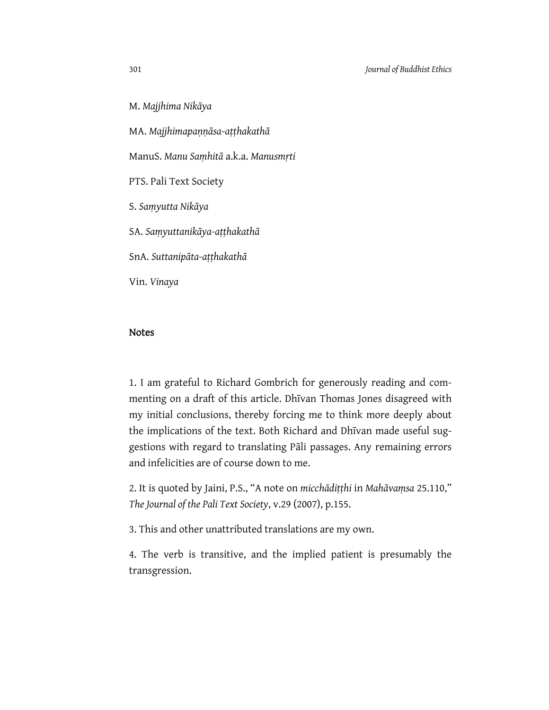M. *Majjhima Nikāya*

MA. *Majjhimapaṇṇāsa*-*aṭṭhakathā*

ManuS. *Manu Saṃhitā* a.k.a. *Manusmṛti*

PTS. Pali Text Society

S. *Saṃyutta Nikāya*

SA. *Saṃyuttanikāya-aṭṭhakathā*

SnA. *Suttanipāta-aṭṭhakathā*

Vin. *Vinaya*

#### Notes

1. I am grateful to Richard Gombrich for generously reading and commenting on a draft of this article. Dhīvan Thomas Jones disagreed with my initial conclusions, thereby forcing me to think more deeply about the implications of the text. Both Richard and Dhīvan made useful suggestions with regard to translating Pāli passages. Any remaining errors and infelicities are of course down to me.

2. It is quoted by Jaini, P.S., "A note on *micchādiṭṭhi* in *Mahāvaṃsa* 25.110," *The Journal of the Pali Text Society*, v.29 (2007), p.155.

3. This and other unattributed translations are my own.

4. The verb is transitive, and the implied patient is presumably the transgression.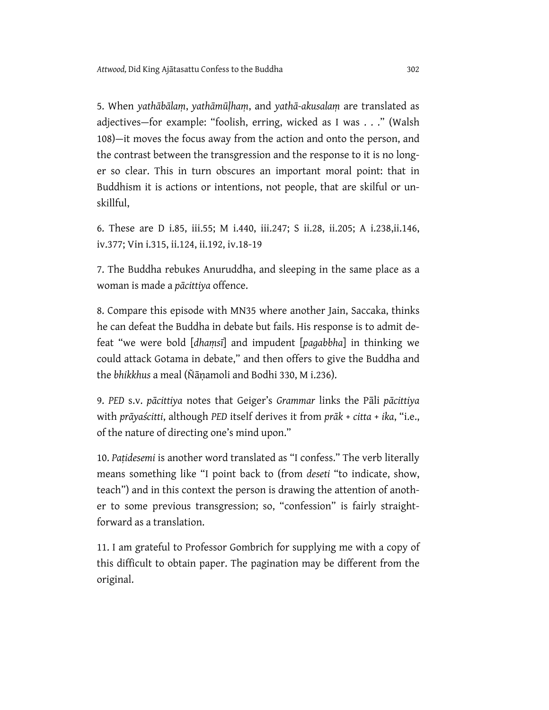5. When *yathābālaṃ*, *yathāmūḷhaṃ*, and *yathā-akusalaṃ* are translated as adjectives—for example: "foolish, erring, wicked as I was . . ." (Walsh 108)—it moves the focus away from the action and onto the person, and the contrast between the transgression and the response to it is no longer so clear. This in turn obscures an important moral point: that in Buddhism it is actions or intentions, not people, that are skilful or unskillful,

6. These are D i.85, iii.55; M i.440, iii.247; S ii.28, ii.205; A i.238,ii.146, iv.377; Vin i.315, ii.124, ii.192, iv.18-19

7. The Buddha rebukes Anuruddha, and sleeping in the same place as a woman is made a *pācittiya* offence.

8. Compare this episode with MN35 where another Jain, Saccaka, thinks he can defeat the Buddha in debate but fails. His response is to admit defeat "we were bold [*dhaṃsī*] and impudent [*pagabbha*] in thinking we could attack Gotama in debate," and then offers to give the Buddha and the *bhikkhus* a meal (Ñāṇamoli and Bodhi 330, M i.236).

9. *PED* s.v. *pācittiya* notes that Geiger's *Grammar* links the Pāli *pācittiya* with *prāyaścitti*, although *PED* itself derives it from *prāk* + *citta* + *ika*, "i.e., of the nature of directing one's mind upon."

10. *Paṭidesemi* is another word translated as "I confess." The verb literally means something like "I point back to (from *deseti* "to indicate, show, teach") and in this context the person is drawing the attention of another to some previous transgression; so, "confession" is fairly straightforward as a translation.

11. I am grateful to Professor Gombrich for supplying me with a copy of this difficult to obtain paper. The pagination may be different from the original.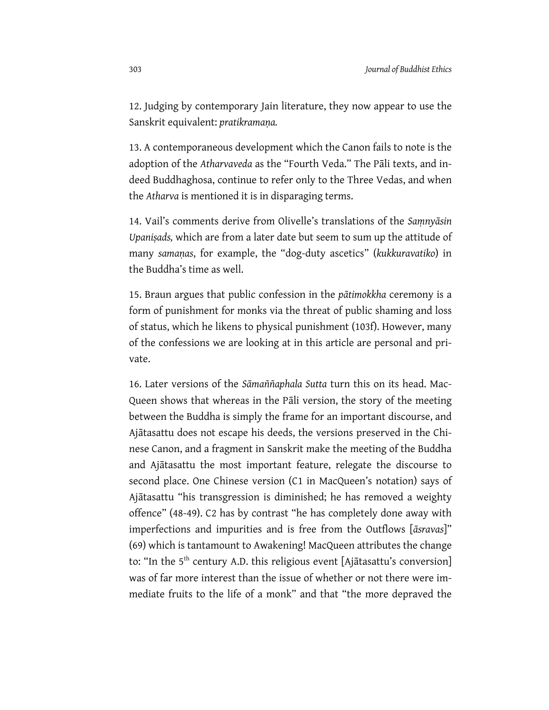12. Judging by contemporary Jain literature, they now appear to use the Sanskrit equivalent: *pratikramaṇa.*

13. A contemporaneous development which the Canon fails to note is the adoption of the *Atharvaveda* as the "Fourth Veda." The Pāli texts, and indeed Buddhaghosa, continue to refer only to the Three Vedas, and when the *Atharva* is mentioned it is in disparaging terms.

14. Vail's comments derive from Olivelle's translations of the *Saṃnyāsin Upaniṣads,* which are from a later date but seem to sum up the attitude of many *samaṇas*, for example, the "dog-duty ascetics" (*kukkuravatiko*) in the Buddha's time as well.

15. Braun argues that public confession in the *pātimokkha* ceremony is a form of punishment for monks via the threat of public shaming and loss of status, which he likens to physical punishment (103f). However, many of the confessions we are looking at in this article are personal and private.

16. Later versions of the *Sāmaññaphala Sutta* turn this on its head. Mac-Queen shows that whereas in the Pāli version, the story of the meeting between the Buddha is simply the frame for an important discourse, and Ajātasattu does not escape his deeds, the versions preserved in the Chinese Canon, and a fragment in Sanskrit make the meeting of the Buddha and Ajātasattu the most important feature, relegate the discourse to second place. One Chinese version (C1 in MacQueen's notation) says of Ajātasattu "his transgression is diminished; he has removed a weighty offence" (48-49). C2 has by contrast "he has completely done away with imperfections and impurities and is free from the Outflows [*āsravas*]" (69) which is tantamount to Awakening! MacQueen attributes the change to: "In the 5<sup>th</sup> century A.D. this religious event [Ajātasattu's conversion] was of far more interest than the issue of whether or not there were immediate fruits to the life of a monk" and that "the more depraved the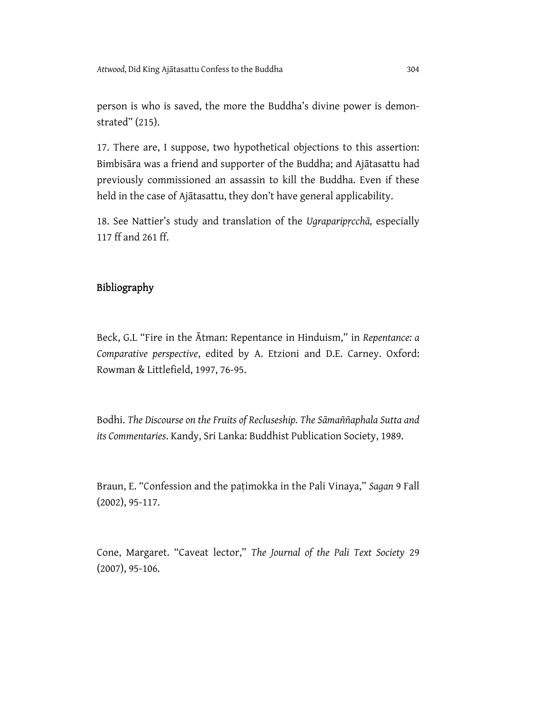person is who is saved, the more the Buddha's divine power is demonstrated" (215).

17. There are, I suppose, two hypothetical objections to this assertion: Bimbisāra was a friend and supporter of the Buddha; and Ajātasattu had previously commissioned an assassin to kill the Buddha. Even if these held in the case of Ajātasattu, they don't have general applicability.

18. See Nattier's study and translation of the *Ugraparipṛcchā,* especially 117 ff and 261 ff.

#### Bibliography

Beck, G.L "Fire in the Ātman: Repentance in Hinduism," in *Repentance: a Comparative perspective*, edited by A. Etzioni and D.E. Carney. Oxford: Rowman & Littlefield, 1997, 76-95.

Bodhi. *The Discourse on the Fruits of Recluseship. The Sāmaññaphala Sutta and its Commentaries*. Kandy, Sri Lanka: Buddhist Publication Society, 1989.

Braun, E. "Confession and the paṭimokka in the Pali Vinaya," *Sagan* 9 Fall (2002), 95-117.

Cone, Margaret. "Caveat lector," *The Journal of the Pali Text Society* 29 (2007), 95-106.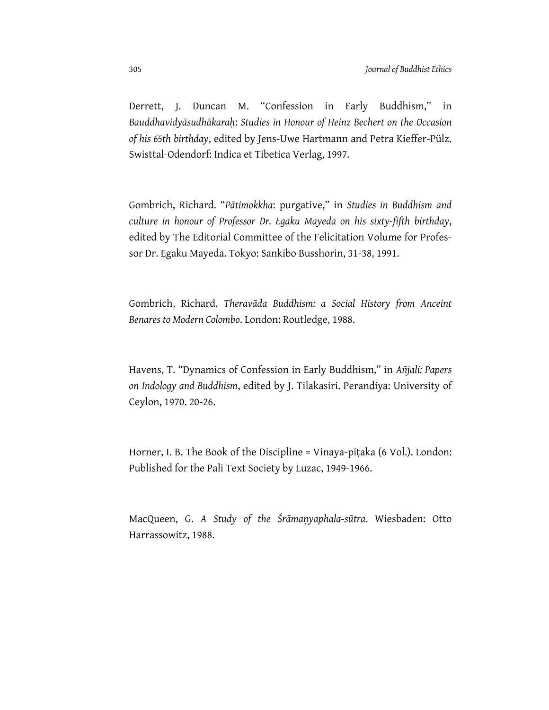Derrett, J. Duncan M. "Confession in Early Buddhism," in *Bauddhavidyāsudhākaraḥ*: *Studies in Honour of Heinz Bechert on the Occasion of his 65th birthday*, edited by Jens-Uwe Hartmann and Petra Kieffer-Pülz. Swisttal-Odendorf: Indica et Tibetica Verlag, 1997.

Gombrich, Richard. "*Pātimokkha*: purgative," in *Studies in Buddhism and culture in honour of Professor Dr. Egaku Mayeda on his sixty-fifth birthday*, edited by The Editorial Committee of the Felicitation Volume for Professor Dr. Egaku Mayeda. Tokyo: Sankibo Busshorin, 31-38, 1991.

Gombrich, Richard. *Theravāda Buddhism: a Social History from Anceint Benares to Modern Colombo*. London: Routledge, 1988.

Havens, T. "Dynamics of Confession in Early Buddhism," in *Añjali: Papers on Indology and Buddhism*, edited by J. Tilakasiri. Perandiya: University of Ceylon, 1970. 20-26.

Horner, I. B. The Book of the Discipline = Vinaya-piṭaka (6 Vol.). London: Published for the Pali Text Society by Luzac, 1949-1966.

MacQueen, G. *A Study of the Śrāmaṇyaphala-sūtra*. Wiesbaden: Otto Harrassowitz, 1988.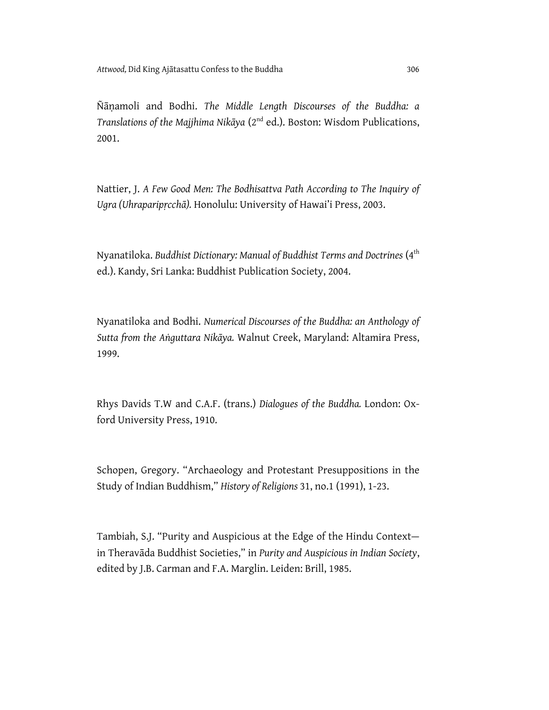Ñāṇamoli and Bodhi. *The Middle Length Discourses of the Buddha: a Translations of the Majjhima Nikāya* (2nd ed.). Boston: Wisdom Publications, 2001.

Nattier, J. *A Few Good Men: The Bodhisattva Path According to The Inquiry of Ugra (Uhraparipṛcchā).* Honolulu: University of Hawai'i Press, 2003.

Nyanatiloka. *Buddhist Dictionary: Manual of Buddhist Terms and Doctrines* (4th ed.). Kandy, Sri Lanka: Buddhist Publication Society, 2004.

Nyanatiloka and Bodhi. *Numerical Discourses of the Buddha: an Anthology of Sutta from the Aṅguttara Nikāya.* Walnut Creek, Maryland: Altamira Press, 1999.

Rhys Davids T.W and C.A.F. (trans.) *Dialogues of the Buddha.* London: Oxford University Press, 1910.

Schopen, Gregory. "Archaeology and Protestant Presuppositions in the Study of Indian Buddhism," *History of Religions* 31, no.1 (1991), 1-23.

Tambiah, S.J. "Purity and Auspicious at the Edge of the Hindu Context in Theravāda Buddhist Societies," in *Purity and Auspicious in Indian Society*, edited by J.B. Carman and F.A. Marglin. Leiden: Brill, 1985.